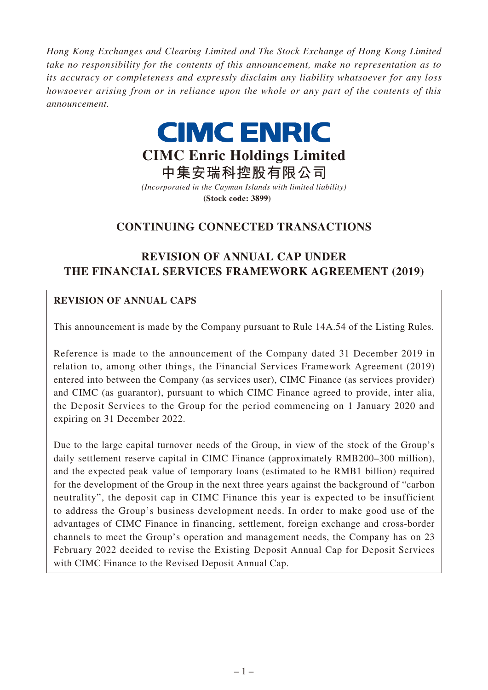*Hong Kong Exchanges and Clearing Limited and The Stock Exchange of Hong Kong Limited take no responsibility for the contents of this announcement, make no representation as to its accuracy or completeness and expressly disclaim any liability whatsoever for any loss howsoever arising from or in reliance upon the whole or any part of the contents of this announcement.*



**CIMC Enric Holdings Limited**

**中集安瑞科控股有限公司** *(Incorporated in the Cayman Islands with limited liability)* **(Stock code: 3899)**

# **CONTINUING CONNECTED TRANSACTIONS**

# **REVISION OF ANNUAL CAP UNDER THE FINANCIAL SERVICES FRAMEWORK AGREEMENT (2019)**

# **REVISION OF ANNUAL CAPS**

This announcement is made by the Company pursuant to Rule 14A.54 of the Listing Rules.

Reference is made to the announcement of the Company dated 31 December 2019 in relation to, among other things, the Financial Services Framework Agreement (2019) entered into between the Company (as services user), CIMC Finance (as services provider) and CIMC (as guarantor), pursuant to which CIMC Finance agreed to provide, inter alia, the Deposit Services to the Group for the period commencing on 1 January 2020 and expiring on 31 December 2022.

Due to the large capital turnover needs of the Group, in view of the stock of the Group's daily settlement reserve capital in CIMC Finance (approximately RMB200–300 million), and the expected peak value of temporary loans (estimated to be RMB1 billion) required for the development of the Group in the next three years against the background of "carbon neutrality", the deposit cap in CIMC Finance this year is expected to be insufficient to address the Group's business development needs. In order to make good use of the advantages of CIMC Finance in financing, settlement, foreign exchange and cross-border channels to meet the Group's operation and management needs, the Company has on 23 February 2022 decided to revise the Existing Deposit Annual Cap for Deposit Services with CIMC Finance to the Revised Deposit Annual Cap.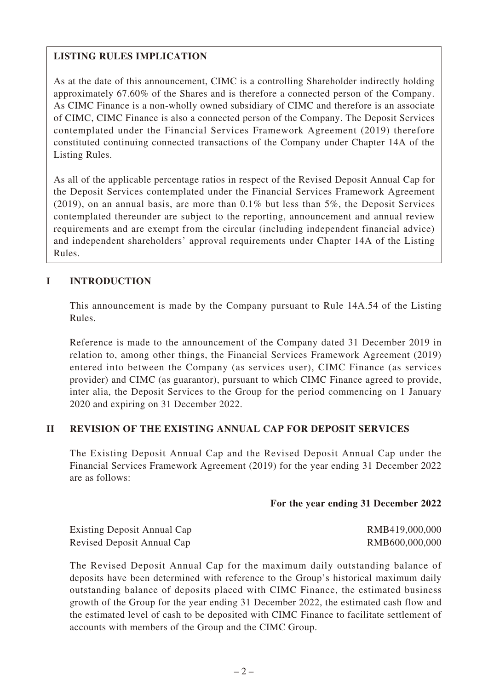## **LISTING RULES IMPLICATION**

As at the date of this announcement, CIMC is a controlling Shareholder indirectly holding approximately 67.60% of the Shares and is therefore a connected person of the Company. As CIMC Finance is a non-wholly owned subsidiary of CIMC and therefore is an associate of CIMC, CIMC Finance is also a connected person of the Company. The Deposit Services contemplated under the Financial Services Framework Agreement (2019) therefore constituted continuing connected transactions of the Company under Chapter 14A of the Listing Rules.

As all of the applicable percentage ratios in respect of the Revised Deposit Annual Cap for the Deposit Services contemplated under the Financial Services Framework Agreement (2019), on an annual basis, are more than 0.1% but less than 5%, the Deposit Services contemplated thereunder are subject to the reporting, announcement and annual review requirements and are exempt from the circular (including independent financial advice) and independent shareholders' approval requirements under Chapter 14A of the Listing Rules.

### **I INTRODUCTION**

This announcement is made by the Company pursuant to Rule 14A.54 of the Listing Rules.

Reference is made to the announcement of the Company dated 31 December 2019 in relation to, among other things, the Financial Services Framework Agreement (2019) entered into between the Company (as services user), CIMC Finance (as services provider) and CIMC (as guarantor), pursuant to which CIMC Finance agreed to provide, inter alia, the Deposit Services to the Group for the period commencing on 1 January 2020 and expiring on 31 December 2022.

#### **II REVISION OF THE EXISTING ANNUAL CAP FOR DEPOSIT SERVICES**

The Existing Deposit Annual Cap and the Revised Deposit Annual Cap under the Financial Services Framework Agreement (2019) for the year ending 31 December 2022 are as follows:

#### **For the year ending 31 December 2022**

| <b>Existing Deposit Annual Cap</b> | RMB419,000,000 |
|------------------------------------|----------------|
| Revised Deposit Annual Cap         | RMB600,000,000 |

The Revised Deposit Annual Cap for the maximum daily outstanding balance of deposits have been determined with reference to the Group's historical maximum daily outstanding balance of deposits placed with CIMC Finance, the estimated business growth of the Group for the year ending 31 December 2022, the estimated cash flow and the estimated level of cash to be deposited with CIMC Finance to facilitate settlement of accounts with members of the Group and the CIMC Group.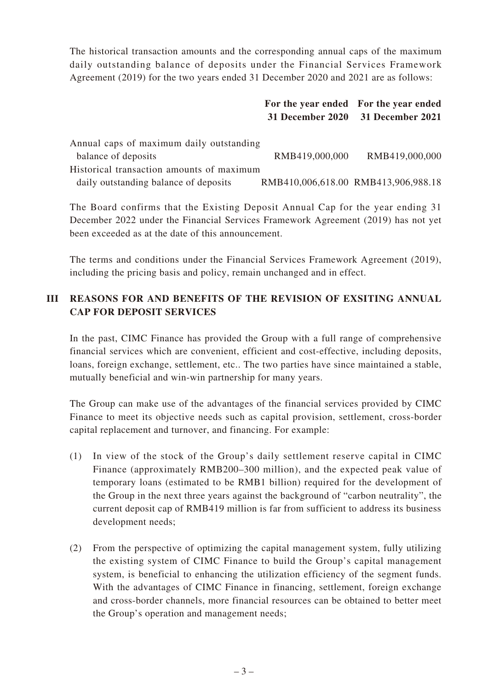The historical transaction amounts and the corresponding annual caps of the maximum daily outstanding balance of deposits under the Financial Services Framework Agreement (2019) for the two years ended 31 December 2020 and 2021 are as follows:

|                                                                                    | 31 December 2020 | For the year ended For the year ended<br><b>31 December 2021</b> |
|------------------------------------------------------------------------------------|------------------|------------------------------------------------------------------|
| Annual caps of maximum daily outstanding<br>balance of deposits                    | RMB419,000,000   | RMB419,000,000                                                   |
| Historical transaction amounts of maximum<br>daily outstanding balance of deposits |                  | RMB410,006,618.00 RMB413,906,988.18                              |

The Board confirms that the Existing Deposit Annual Cap for the year ending 31 December 2022 under the Financial Services Framework Agreement (2019) has not yet been exceeded as at the date of this announcement.

The terms and conditions under the Financial Services Framework Agreement (2019), including the pricing basis and policy, remain unchanged and in effect.

# **III REASONS FOR AND BENEFITS OF THE REVISION OF EXSITING ANNUAL CAP FOR DEPOSIT SERVICES**

In the past, CIMC Finance has provided the Group with a full range of comprehensive financial services which are convenient, efficient and cost-effective, including deposits, loans, foreign exchange, settlement, etc.. The two parties have since maintained a stable, mutually beneficial and win-win partnership for many years.

The Group can make use of the advantages of the financial services provided by CIMC Finance to meet its objective needs such as capital provision, settlement, cross-border capital replacement and turnover, and financing. For example:

- (1) In view of the stock of the Group's daily settlement reserve capital in CIMC Finance (approximately RMB200–300 million), and the expected peak value of temporary loans (estimated to be RMB1 billion) required for the development of the Group in the next three years against the background of "carbon neutrality", the current deposit cap of RMB419 million is far from sufficient to address its business development needs;
- (2) From the perspective of optimizing the capital management system, fully utilizing the existing system of CIMC Finance to build the Group's capital management system, is beneficial to enhancing the utilization efficiency of the segment funds. With the advantages of CIMC Finance in financing, settlement, foreign exchange and cross-border channels, more financial resources can be obtained to better meet the Group's operation and management needs;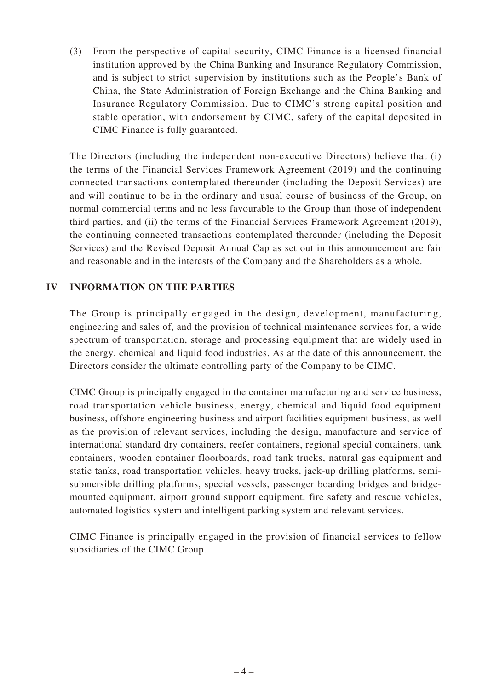(3) From the perspective of capital security, CIMC Finance is a licensed financial institution approved by the China Banking and Insurance Regulatory Commission, and is subject to strict supervision by institutions such as the People's Bank of China, the State Administration of Foreign Exchange and the China Banking and Insurance Regulatory Commission. Due to CIMC's strong capital position and stable operation, with endorsement by CIMC, safety of the capital deposited in CIMC Finance is fully guaranteed.

The Directors (including the independent non-executive Directors) believe that (i) the terms of the Financial Services Framework Agreement (2019) and the continuing connected transactions contemplated thereunder (including the Deposit Services) are and will continue to be in the ordinary and usual course of business of the Group, on normal commercial terms and no less favourable to the Group than those of independent third parties, and (ii) the terms of the Financial Services Framework Agreement (2019), the continuing connected transactions contemplated thereunder (including the Deposit Services) and the Revised Deposit Annual Cap as set out in this announcement are fair and reasonable and in the interests of the Company and the Shareholders as a whole.

## **IV INFORMATION ON THE PARTIES**

The Group is principally engaged in the design, development, manufacturing, engineering and sales of, and the provision of technical maintenance services for, a wide spectrum of transportation, storage and processing equipment that are widely used in the energy, chemical and liquid food industries. As at the date of this announcement, the Directors consider the ultimate controlling party of the Company to be CIMC.

CIMC Group is principally engaged in the container manufacturing and service business, road transportation vehicle business, energy, chemical and liquid food equipment business, offshore engineering business and airport facilities equipment business, as well as the provision of relevant services, including the design, manufacture and service of international standard dry containers, reefer containers, regional special containers, tank containers, wooden container floorboards, road tank trucks, natural gas equipment and static tanks, road transportation vehicles, heavy trucks, jack-up drilling platforms, semisubmersible drilling platforms, special vessels, passenger boarding bridges and bridgemounted equipment, airport ground support equipment, fire safety and rescue vehicles, automated logistics system and intelligent parking system and relevant services.

CIMC Finance is principally engaged in the provision of financial services to fellow subsidiaries of the CIMC Group.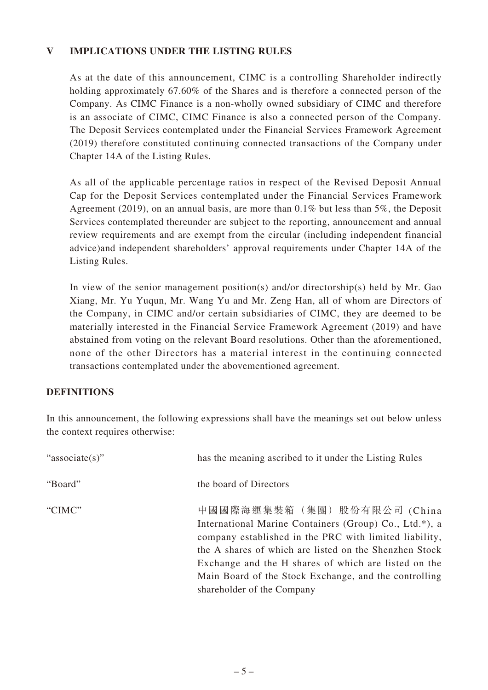## **V IMPLICATIONS UNDER THE LISTING RULES**

As at the date of this announcement, CIMC is a controlling Shareholder indirectly holding approximately 67.60% of the Shares and is therefore a connected person of the Company. As CIMC Finance is a non-wholly owned subsidiary of CIMC and therefore is an associate of CIMC, CIMC Finance is also a connected person of the Company. The Deposit Services contemplated under the Financial Services Framework Agreement (2019) therefore constituted continuing connected transactions of the Company under Chapter 14A of the Listing Rules.

As all of the applicable percentage ratios in respect of the Revised Deposit Annual Cap for the Deposit Services contemplated under the Financial Services Framework Agreement (2019), on an annual basis, are more than 0.1% but less than 5%, the Deposit Services contemplated thereunder are subject to the reporting, announcement and annual review requirements and are exempt from the circular (including independent financial advice)and independent shareholders' approval requirements under Chapter 14A of the Listing Rules.

In view of the senior management position(s) and/or directorship(s) held by Mr. Gao Xiang, Mr. Yu Yuqun, Mr. Wang Yu and Mr. Zeng Han, all of whom are Directors of the Company, in CIMC and/or certain subsidiaries of CIMC, they are deemed to be materially interested in the Financial Service Framework Agreement (2019) and have abstained from voting on the relevant Board resolutions. Other than the aforementioned, none of the other Directors has a material interest in the continuing connected transactions contemplated under the abovementioned agreement.

#### **DEFINITIONS**

In this announcement, the following expressions shall have the meanings set out below unless the context requires otherwise:

| "associate(s)" | has the meaning ascribed to it under the Listing Rules                                                                                                                                                                                                                                                                                                  |
|----------------|---------------------------------------------------------------------------------------------------------------------------------------------------------------------------------------------------------------------------------------------------------------------------------------------------------------------------------------------------------|
| "Board"        | the board of Directors                                                                                                                                                                                                                                                                                                                                  |
| "CIMC"         | 中國國際海運集裝箱(集團)股份有限公司 (China<br>International Marine Containers (Group) Co., Ltd.*), a<br>company established in the PRC with limited liability,<br>the A shares of which are listed on the Shenzhen Stock<br>Exchange and the H shares of which are listed on the<br>Main Board of the Stock Exchange, and the controlling<br>shareholder of the Company |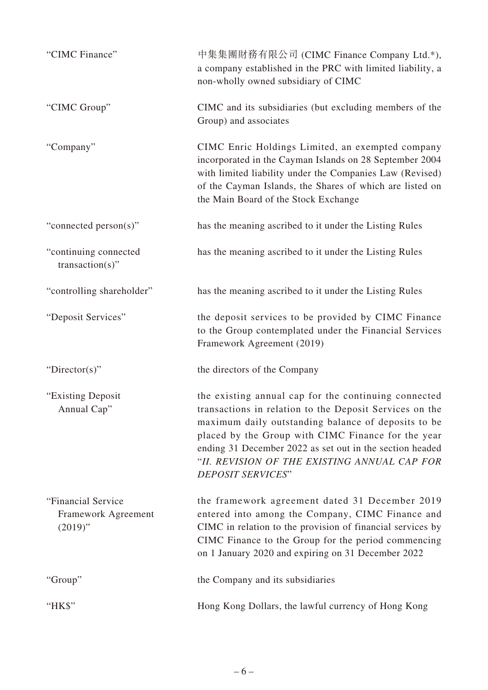| "CIMC Finance"                                          | 中集集團財務有限公司 (CIMC Finance Company Ltd.*),<br>a company established in the PRC with limited liability, a<br>non-wholly owned subsidiary of CIMC                                                                                                                                                                                                                        |
|---------------------------------------------------------|----------------------------------------------------------------------------------------------------------------------------------------------------------------------------------------------------------------------------------------------------------------------------------------------------------------------------------------------------------------------|
| "CIMC Group"                                            | CIMC and its subsidiaries (but excluding members of the<br>Group) and associates                                                                                                                                                                                                                                                                                     |
| "Company"                                               | CIMC Enric Holdings Limited, an exempted company<br>incorporated in the Cayman Islands on 28 September 2004<br>with limited liability under the Companies Law (Revised)<br>of the Cayman Islands, the Shares of which are listed on<br>the Main Board of the Stock Exchange                                                                                          |
| "connected person(s)"                                   | has the meaning ascribed to it under the Listing Rules                                                                                                                                                                                                                                                                                                               |
| "continuing connected<br>$transaction(s)$ "             | has the meaning ascribed to it under the Listing Rules                                                                                                                                                                                                                                                                                                               |
| "controlling shareholder"                               | has the meaning ascribed to it under the Listing Rules                                                                                                                                                                                                                                                                                                               |
| "Deposit Services"                                      | the deposit services to be provided by CIMC Finance<br>to the Group contemplated under the Financial Services<br>Framework Agreement (2019)                                                                                                                                                                                                                          |
| "Director(s)"                                           | the directors of the Company                                                                                                                                                                                                                                                                                                                                         |
| "Existing Deposit<br>Annual Cap"                        | the existing annual cap for the continuing connected<br>transactions in relation to the Deposit Services on the<br>maximum daily outstanding balance of deposits to be<br>placed by the Group with CIMC Finance for the year<br>ending 31 December 2022 as set out in the section headed<br>"II. REVISION OF THE EXISTING ANNUAL CAP FOR<br><b>DEPOSIT SERVICES"</b> |
| "Financial Service<br>Framework Agreement<br>$(2019)$ " | the framework agreement dated 31 December 2019<br>entered into among the Company, CIMC Finance and<br>CIMC in relation to the provision of financial services by<br>CIMC Finance to the Group for the period commencing<br>on 1 January 2020 and expiring on 31 December 2022                                                                                        |
| "Group"                                                 | the Company and its subsidiaries                                                                                                                                                                                                                                                                                                                                     |
| "HK\$"                                                  | Hong Kong Dollars, the lawful currency of Hong Kong                                                                                                                                                                                                                                                                                                                  |